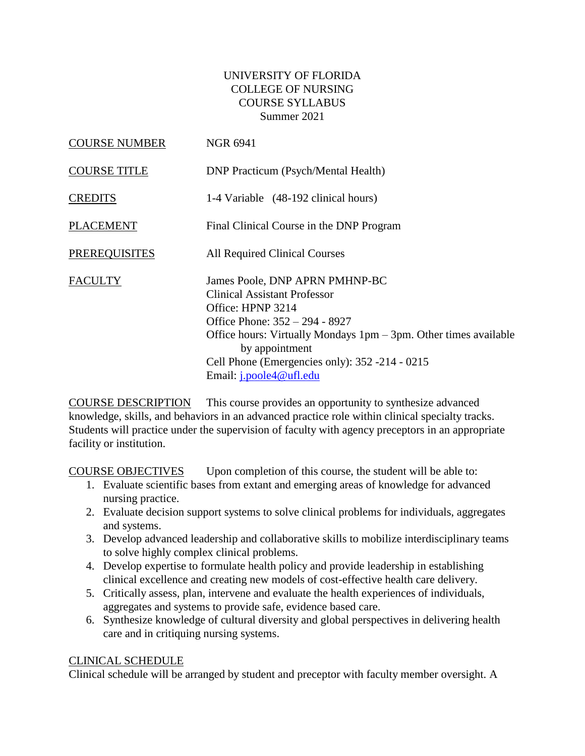## UNIVERSITY OF FLORIDA COLLEGE OF NURSING COURSE SYLLABUS Summer 2021

| <b>COURSE NUMBER</b> | <b>NGR 6941</b>                                                                                                                                                                                                                                                                                |
|----------------------|------------------------------------------------------------------------------------------------------------------------------------------------------------------------------------------------------------------------------------------------------------------------------------------------|
| <b>COURSE TITLE</b>  | <b>DNP</b> Practicum (Psych/Mental Health)                                                                                                                                                                                                                                                     |
| <b>CREDITS</b>       | 1-4 Variable (48-192 clinical hours)                                                                                                                                                                                                                                                           |
| <b>PLACEMENT</b>     | Final Clinical Course in the DNP Program                                                                                                                                                                                                                                                       |
| <b>PREREQUISITES</b> | <b>All Required Clinical Courses</b>                                                                                                                                                                                                                                                           |
| <b>FACULTY</b>       | James Poole, DNP APRN PMHNP-BC<br>Clinical Assistant Professor<br>Office: HPNP 3214<br>Office Phone: 352 – 294 - 8927<br>Office hours: Virtually Mondays $1pm - 3pm$ . Other times available<br>by appointment<br>Cell Phone (Emergencies only): 352 -214 - 0215<br>Email: $j$ .poole4@ufl.edu |

COURSE DESCRIPTION This course provides an opportunity to synthesize advanced knowledge, skills, and behaviors in an advanced practice role within clinical specialty tracks. Students will practice under the supervision of faculty with agency preceptors in an appropriate facility or institution.

COURSE OBJECTIVES Upon completion of this course, the student will be able to:

- 1. Evaluate scientific bases from extant and emerging areas of knowledge for advanced nursing practice.
- 2. Evaluate decision support systems to solve clinical problems for individuals, aggregates and systems.
- 3. Develop advanced leadership and collaborative skills to mobilize interdisciplinary teams to solve highly complex clinical problems.
- 4. Develop expertise to formulate health policy and provide leadership in establishing clinical excellence and creating new models of cost-effective health care delivery.
- 5. Critically assess, plan, intervene and evaluate the health experiences of individuals, aggregates and systems to provide safe, evidence based care.
- 6. Synthesize knowledge of cultural diversity and global perspectives in delivering health care and in critiquing nursing systems.

### CLINICAL SCHEDULE

Clinical schedule will be arranged by student and preceptor with faculty member oversight. A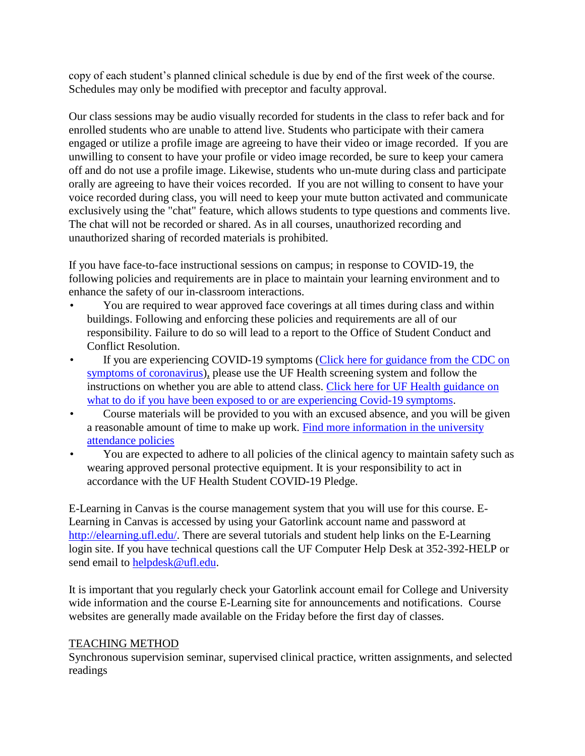copy of each student's planned clinical schedule is due by end of the first week of the course. Schedules may only be modified with preceptor and faculty approval.

Our class sessions may be audio visually recorded for students in the class to refer back and for enrolled students who are unable to attend live. Students who participate with their camera engaged or utilize a profile image are agreeing to have their video or image recorded. If you are unwilling to consent to have your profile or video image recorded, be sure to keep your camera off and do not use a profile image. Likewise, students who un-mute during class and participate orally are agreeing to have their voices recorded. If you are not willing to consent to have your voice recorded during class, you will need to keep your mute button activated and communicate exclusively using the "chat" feature, which allows students to type questions and comments live. The chat will not be recorded or shared. As in all courses, unauthorized recording and unauthorized sharing of recorded materials is prohibited.

If you have face-to-face instructional sessions on campus; in response to COVID-19, the following policies and requirements are in place to maintain your learning environment and to enhance the safety of our in-classroom interactions.

- You are required to wear approved face coverings at all times during class and within buildings. Following and enforcing these policies and requirements are all of our responsibility. Failure to do so will lead to a report to the Office of Student Conduct and Conflict Resolution.
- If you are experiencing COVID-19 symptoms (Click here for guidance from the CDC on [symptoms of coronavirus\)](https://www.cdc.gov/coronavirus/2019-ncov/symptoms-testing/symptoms.html), please use the UF Health screening system and follow the instructions on whether you are able to attend class. [Click here for UF Health guidance on](https://coronavirus.ufhealth.org/screen-test-protect/covid-19-exposure-and-symptoms-who-do-i-call-if/)  [what to do if you have been exposed to or are experiencing Covid-19 symptoms.](https://coronavirus.ufhealth.org/screen-test-protect/covid-19-exposure-and-symptoms-who-do-i-call-if/)
- Course materials will be provided to you with an excused absence, and you will be given a reasonable amount of time to make up work. [Find more information in the university](https://catalog.ufl.edu/UGRD/academic-regulations/attendance-policies/)  [attendance policies](https://catalog.ufl.edu/UGRD/academic-regulations/attendance-policies/)
- You are expected to adhere to all policies of the clinical agency to maintain safety such as wearing approved personal protective equipment. It is your responsibility to act in accordance with the UF Health Student COVID-19 Pledge.

E-Learning in Canvas is the course management system that you will use for this course. E-Learning in Canvas is accessed by using your Gatorlink account name and password at [http://elearning.ufl.edu/.](http://elearning.ufl.edu/) There are several tutorials and student help links on the E-Learning login site. If you have technical questions call the UF Computer Help Desk at 352-392-HELP or send email to [helpdesk@ufl.edu.](mailto:helpdesk@ufl.edu)

It is important that you regularly check your Gatorlink account email for College and University wide information and the course E-Learning site for announcements and notifications. Course websites are generally made available on the Friday before the first day of classes.

### TEACHING METHOD

Synchronous supervision seminar, supervised clinical practice, written assignments, and selected readings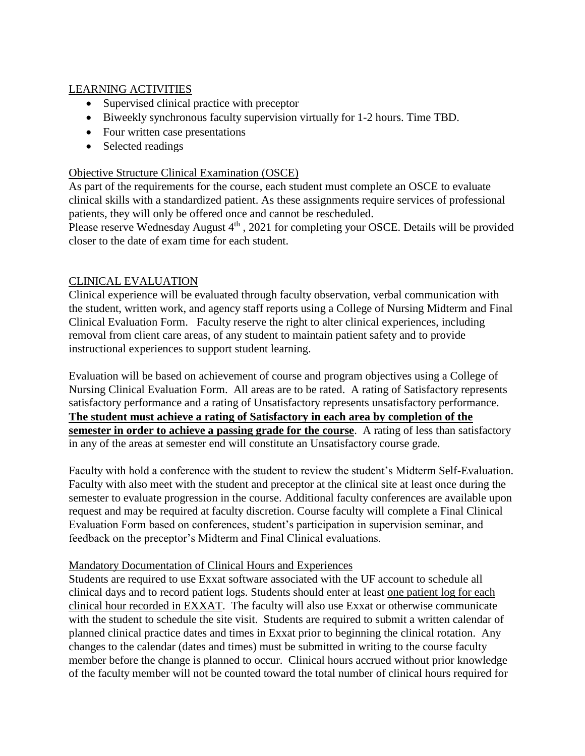# LEARNING ACTIVITIES

- Supervised clinical practice with preceptor
- Biweekly synchronous faculty supervision virtually for 1-2 hours. Time TBD.
- Four written case presentations
- Selected readings

### Objective Structure Clinical Examination (OSCE)

As part of the requirements for the course, each student must complete an OSCE to evaluate clinical skills with a standardized patient. As these assignments require services of professional patients, they will only be offered once and cannot be rescheduled.

Please reserve Wednesday August  $4<sup>th</sup>$ , 2021 for completing your OSCE. Details will be provided closer to the date of exam time for each student.

### CLINICAL EVALUATION

Clinical experience will be evaluated through faculty observation, verbal communication with the student, written work, and agency staff reports using a College of Nursing Midterm and Final Clinical Evaluation Form. Faculty reserve the right to alter clinical experiences, including removal from client care areas, of any student to maintain patient safety and to provide instructional experiences to support student learning.

Evaluation will be based on achievement of course and program objectives using a College of Nursing Clinical Evaluation Form. All areas are to be rated. A rating of Satisfactory represents satisfactory performance and a rating of Unsatisfactory represents unsatisfactory performance. **The student must achieve a rating of Satisfactory in each area by completion of the semester in order to achieve a passing grade for the course**. A rating of less than satisfactory in any of the areas at semester end will constitute an Unsatisfactory course grade.

Faculty with hold a conference with the student to review the student's Midterm Self-Evaluation. Faculty with also meet with the student and preceptor at the clinical site at least once during the semester to evaluate progression in the course. Additional faculty conferences are available upon request and may be required at faculty discretion. Course faculty will complete a Final Clinical Evaluation Form based on conferences, student's participation in supervision seminar, and feedback on the preceptor's Midterm and Final Clinical evaluations.

### Mandatory Documentation of Clinical Hours and Experiences

Students are required to use Exxat software associated with the UF account to schedule all clinical days and to record patient logs. Students should enter at least one patient log for each clinical hour recorded in EXXAT. The faculty will also use Exxat or otherwise communicate with the student to schedule the site visit. Students are required to submit a written calendar of planned clinical practice dates and times in Exxat prior to beginning the clinical rotation. Any changes to the calendar (dates and times) must be submitted in writing to the course faculty member before the change is planned to occur. Clinical hours accrued without prior knowledge of the faculty member will not be counted toward the total number of clinical hours required for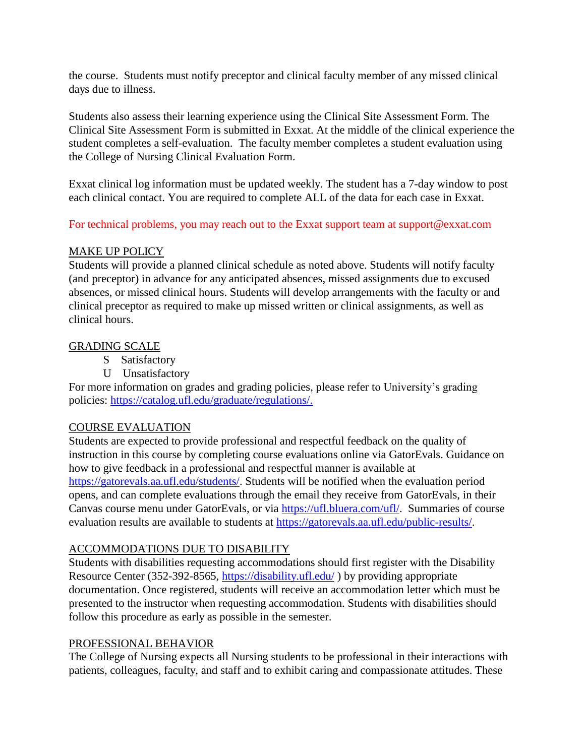the course. Students must notify preceptor and clinical faculty member of any missed clinical days due to illness.

Students also assess their learning experience using the Clinical Site Assessment Form. The Clinical Site Assessment Form is submitted in Exxat. At the middle of the clinical experience the student completes a self-evaluation. The faculty member completes a student evaluation using the College of Nursing Clinical Evaluation Form.

Exxat clinical log information must be updated weekly. The student has a 7-day window to post each clinical contact. You are required to complete ALL of the data for each case in Exxat.

For technical problems, you may reach out to the Exxat support team at support@exxat.com

### MAKE UP POLICY

Students will provide a planned clinical schedule as noted above. Students will notify faculty (and preceptor) in advance for any anticipated absences, missed assignments due to excused absences, or missed clinical hours. Students will develop arrangements with the faculty or and clinical preceptor as required to make up missed written or clinical assignments, as well as clinical hours.

### GRADING SCALE

- S Satisfactory
- U Unsatisfactory

For more information on grades and grading policies, please refer to University's grading policies: [https://catalog.ufl.edu/graduate/regulations/.](https://catalog.ufl.edu/graduate/regulations/)

### COURSE EVALUATION

Students are expected to provide professional and respectful feedback on the quality of instruction in this course by completing course evaluations online via GatorEvals. Guidance on how to give feedback in a professional and respectful manner is available at [https://gatorevals.aa.ufl.edu/students/.](https://gatorevals.aa.ufl.edu/students/) Students will be notified when the evaluation period opens, and can complete evaluations through the email they receive from GatorEvals, in their Canvas course menu under GatorEvals, or via [https://ufl.bluera.com/ufl/.](https://ufl.bluera.com/ufl/) Summaries of course evaluation results are available to students at [https://gatorevals.aa.ufl.edu/public-results/.](https://gatorevals.aa.ufl.edu/public-results/)

### ACCOMMODATIONS DUE TO DISABILITY

Students with disabilities requesting accommodations should first register with the Disability Resource Center (352-392-8565,<https://disability.ufl.edu/> ) by providing appropriate documentation. Once registered, students will receive an accommodation letter which must be presented to the instructor when requesting accommodation. Students with disabilities should follow this procedure as early as possible in the semester.

### PROFESSIONAL BEHAVIOR

The College of Nursing expects all Nursing students to be professional in their interactions with patients, colleagues, faculty, and staff and to exhibit caring and compassionate attitudes. These